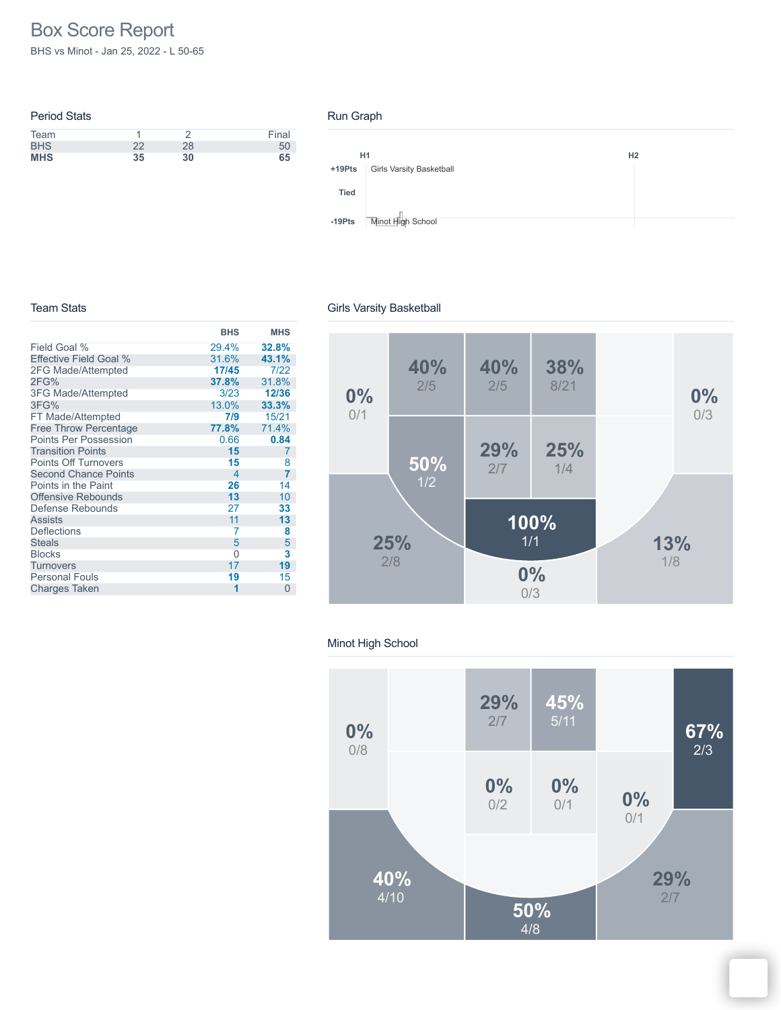# Box Score Report

BHS vs Minot - Jan 25, 2022 - L 50-65

| <b>Period Stats</b> |    |    |       |
|---------------------|----|----|-------|
| Team                |    |    | Final |
| <b>BHS</b>          | 22 | 28 | 50    |
| <b>MHS</b>          | 35 | 30 | 65    |

#### Run Graph



#### Team Stats

# Girls Varsity Basketball

|                              | <b>BHS</b>               | <b>MHS</b> |
|------------------------------|--------------------------|------------|
| Field Goal %                 | 29.4%                    | 32.8%      |
| Effective Field Goal %       | 31.6%                    | 43.1%      |
| 2FG Made/Attempted           | 17/45                    | 7/22       |
| 2FG%                         | 37.8%                    | 31.8%      |
| 3FG Made/Attempted           | 3/23                     | 12/36      |
| 3FG%                         | 13.0%                    | 33.3%      |
| FT Made/Attempted            | 7/9                      | 15/21      |
| <b>Free Throw Percentage</b> | 77.8%                    | 71.4%      |
| <b>Points Per Possession</b> | 0.66                     | 0.84       |
| <b>Transition Points</b>     | 15                       | 7          |
| <b>Points Off Turnovers</b>  | 15                       | 8          |
| <b>Second Chance Points</b>  | $\overline{\mathcal{A}}$ | 7          |
| Points in the Paint          | 26                       | 14         |
| <b>Offensive Rebounds</b>    | 13                       | 10         |
| Defense Rebounds             | 27                       | 33         |
| <b>Assists</b>               | 11                       | 13         |
| <b>Deflections</b>           | 7                        | 8          |
| <b>Steals</b>                | 5                        | 5          |
| <b>Blocks</b>                | 0                        | 3          |
| <b>Turnovers</b>             | 17                       | 19         |
| <b>Personal Fouls</b>        | 19                       | 15         |
| <b>Charges Taken</b>         | 1                        | $\Omega$   |



#### Minot High School